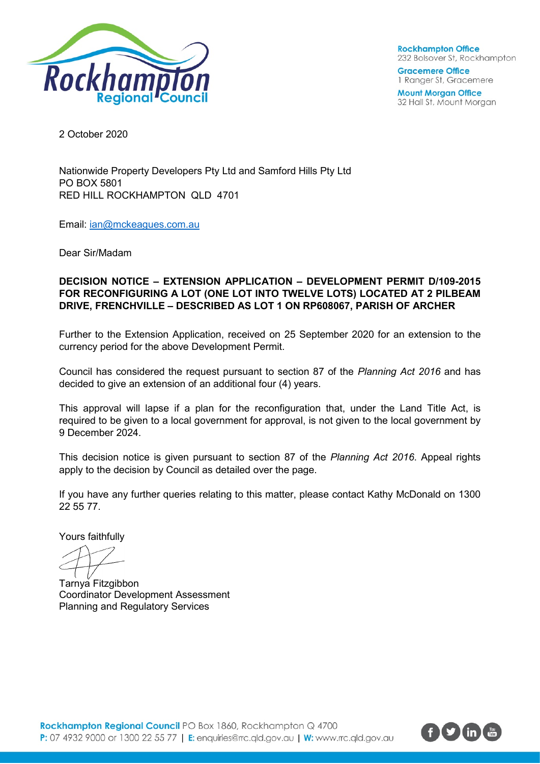

**Rockhampton Office** 232 Bolsover St, Rockhampton

**Gracemere Office** 1 Ranger St, Gracemere

**Mount Morgan Office** 32 Hall St, Mount Morgan

2 October 2020

Nationwide Property Developers Pty Ltd and Samford Hills Pty Ltd PO BOX 5801 RED HILL ROCKHAMPTON QLD 4701

Email: [ian@mckeagues.com.au](mailto:ian@mckeagues.com.au)

Dear Sir/Madam

## **DECISION NOTICE – EXTENSION APPLICATION – DEVELOPMENT PERMIT D/109-2015 FOR RECONFIGURING A LOT (ONE LOT INTO TWELVE LOTS) LOCATED AT 2 PILBEAM DRIVE, FRENCHVILLE – DESCRIBED AS LOT 1 ON RP608067, PARISH OF ARCHER**

Further to the Extension Application, received on 25 September 2020 for an extension to the currency period for the above Development Permit.

Council has considered the request pursuant to section 87 of the *Planning Act 2016* and has decided to give an extension of an additional four (4) years.

This approval will lapse if a plan for the reconfiguration that, under the Land Title Act, is required to be given to a local government for approval, is not given to the local government by 9 December 2024.

This decision notice is given pursuant to section 87 of the *Planning Act 2016*. Appeal rights apply to the decision by Council as detailed over the page.

If you have any further queries relating to this matter, please contact Kathy McDonald on 1300 22 55 77.

Yours faithfully

Tarnya Fitzgibbon Coordinator Development Assessment Planning and Regulatory Services